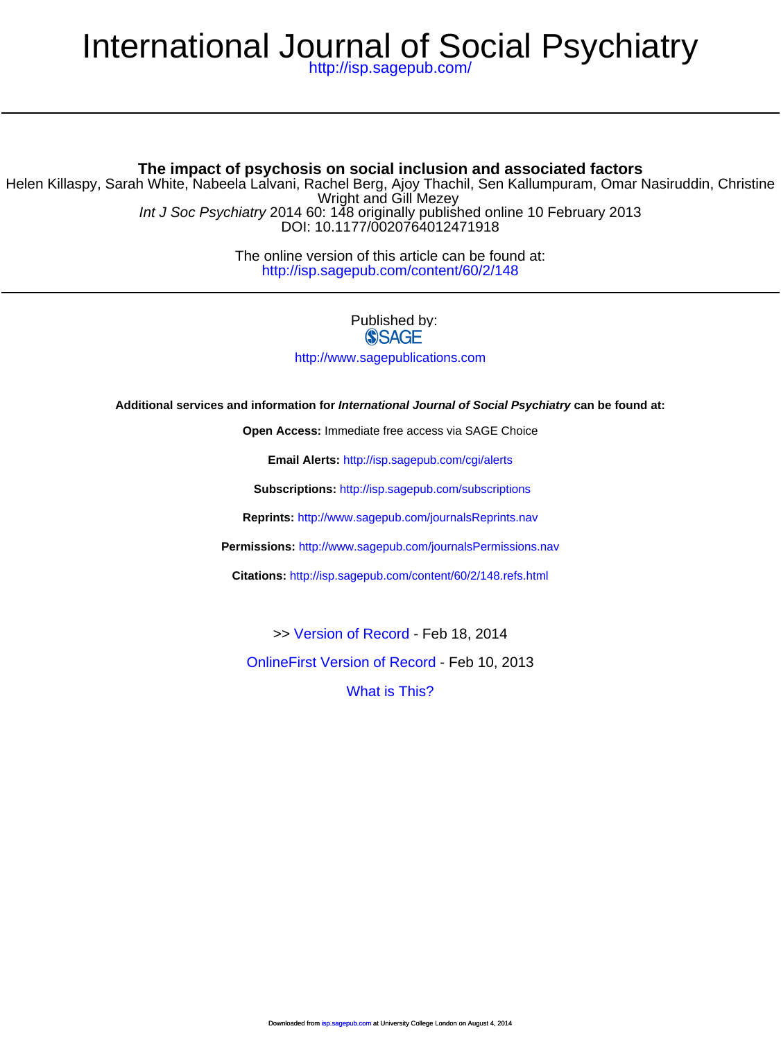# International Journal of Social Psychiatry

<http://isp.sagepub.com/>

### **The impact of psychosis on social inclusion and associated factors**

DOI: 10.1177/0020764012471918 Int J Soc Psychiatry 2014 60: 148 originally published online 10 February 2013 Wright and Gill Mezey Helen Killaspy, Sarah White, Nabeela Lalvani, Rachel Berg, Ajoy Thachil, Sen Kallumpuram, Omar Nasiruddin, Christine

> <http://isp.sagepub.com/content/60/2/148> The online version of this article can be found at:

## Published by: **SSAGE**

<http://www.sagepublications.com>

#### **Additional services and information for International Journal of Social Psychiatry can be found at:**

**Open Access:** Immediate free access via SAGE Choice

**Email Alerts:** <http://isp.sagepub.com/cgi/alerts>

**Subscriptions:** <http://isp.sagepub.com/subscriptions>

**Reprints:** <http://www.sagepub.com/journalsReprints.nav>

**Permissions:** <http://www.sagepub.com/journalsPermissions.nav>

**Citations:** <http://isp.sagepub.com/content/60/2/148.refs.html>

>> [Version of Record -](http://isp.sagepub.com/content/60/2/148.full.pdf) Feb 18, 2014

[OnlineFirst Version of Record -](http://isp.sagepub.com/content/early/2013/02/07/0020764012471918.full.pdf) Feb 10, 2013

[What is This?](http://online.sagepub.com/site/sphelp/vorhelp.xhtml)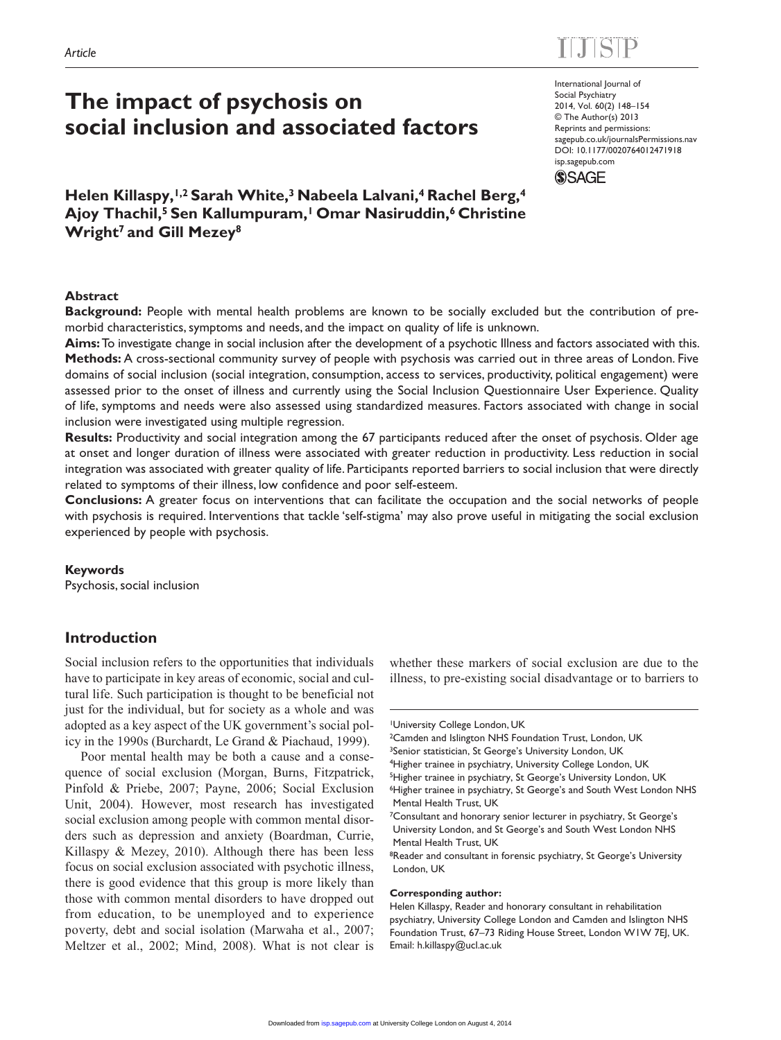

# **The impact of psychosis on social inclusion and associated factors**

International Journal of Social Psychiatry 2014, Vol. 60(2) 148–154 © The Author(s) 2013 Reprints and permissions: sagepub.co.uk/journalsPermissions.nav DOI: 10.1177/0020764012471918 isp.sagepub.com **SSAGE** 

**Helen Killaspy,1,2 Sarah White,3 Nabeela Lalvani,4 Rachel Berg,4**  Ajoy Thachil,<sup>5</sup> Sen Kallumpuram,<sup>1</sup> Omar Nasiruddin,<sup>6</sup> Christine **Wright7 and Gill Mezey8** 

#### **Abstract**

**Background:** People with mental health problems are known to be socially excluded but the contribution of premorbid characteristics, symptoms and needs, and the impact on quality of life is unknown.

**Aims:** To investigate change in social inclusion after the development of a psychotic Illness and factors associated with this. **Methods:** A cross-sectional community survey of people with psychosis was carried out in three areas of London. Five domains of social inclusion (social integration, consumption, access to services, productivity, political engagement) were assessed prior to the onset of illness and currently using the Social Inclusion Questionnaire User Experience. Quality of life, symptoms and needs were also assessed using standardized measures. Factors associated with change in social inclusion were investigated using multiple regression.

**Results:** Productivity and social integration among the 67 participants reduced after the onset of psychosis. Older age at onset and longer duration of illness were associated with greater reduction in productivity. Less reduction in social integration was associated with greater quality of life. Participants reported barriers to social inclusion that were directly related to symptoms of their illness, low confidence and poor self-esteem.

**Conclusions:** A greater focus on interventions that can facilitate the occupation and the social networks of people with psychosis is required. Interventions that tackle 'self-stigma' may also prove useful in mitigating the social exclusion experienced by people with psychosis.

#### **Keywords**

Psychosis, social inclusion

#### **Introduction**

Social inclusion refers to the opportunities that individuals have to participate in key areas of economic, social and cultural life. Such participation is thought to be beneficial not just for the individual, but for society as a whole and was adopted as a key aspect of the UK government's social policy in the 1990s (Burchardt, Le Grand & Piachaud, 1999).

Poor mental health may be both a cause and a consequence of social exclusion (Morgan, Burns, Fitzpatrick, Pinfold & Priebe, 2007; Payne, 2006; Social Exclusion Unit, 2004). However, most research has investigated social exclusion among people with common mental disorders such as depression and anxiety (Boardman, Currie, Killaspy & Mezey, 2010). Although there has been less focus on social exclusion associated with psychotic illness, there is good evidence that this group is more likely than those with common mental disorders to have dropped out from education, to be unemployed and to experience poverty, debt and social isolation (Marwaha et al., 2007; Meltzer et al., 2002; Mind, 2008). What is not clear is

whether these markers of social exclusion are due to the illness, to pre-existing social disadvantage or to barriers to

2Camden and Islington NHS Foundation Trust, London, UK 3Senior statistician, St George's University London, UK

8Reader and consultant in forensic psychiatry, St George's University London, UK

#### **Corresponding author:**

Helen Killaspy, Reader and honorary consultant in rehabilitation psychiatry, University College London and Camden and Islington NHS Foundation Trust, 67–73 Riding House Street, London W1W 7EJ, UK. Email: h.killaspy@ucl.ac.uk

<sup>1</sup>University College London, UK

<sup>4</sup>Higher trainee in psychiatry, University College London, UK

<sup>5</sup>Higher trainee in psychiatry, St George's University London, UK 6Higher trainee in psychiatry, St George's and South West London NHS Mental Health Trust, UK

<sup>7</sup>Consultant and honorary senior lecturer in psychiatry, St George's University London, and St George's and South West London NHS Mental Health Trust, UK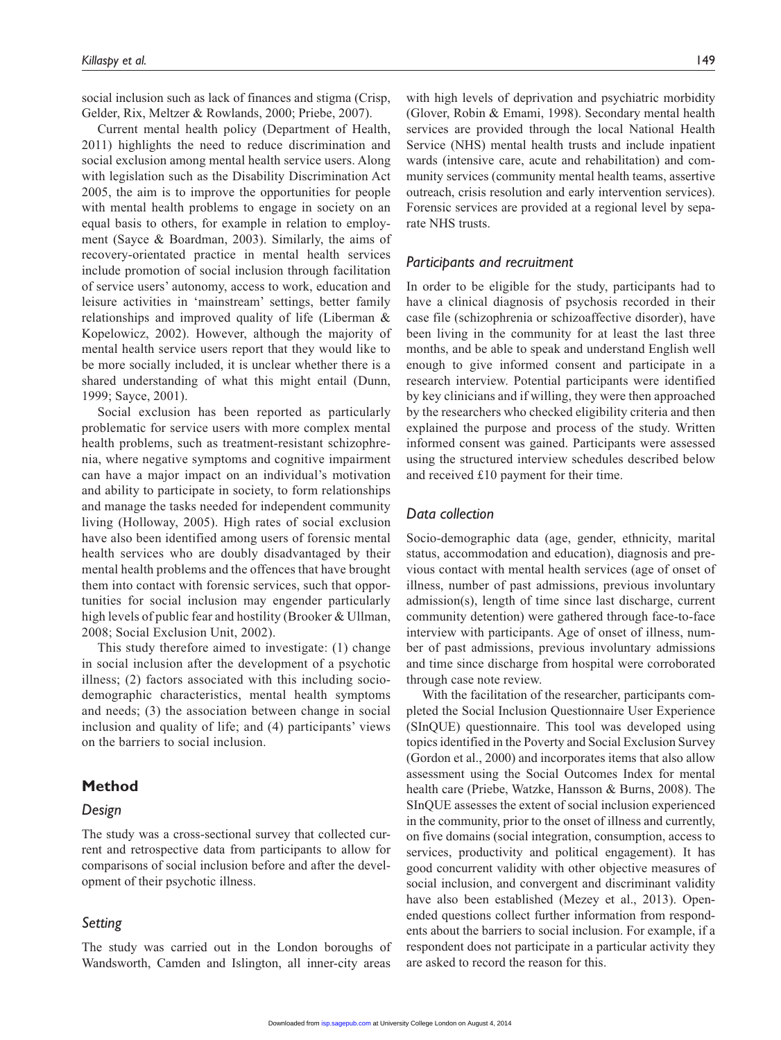social inclusion such as lack of finances and stigma (Crisp, Gelder, Rix, Meltzer & Rowlands, 2000; Priebe, 2007).

Current mental health policy (Department of Health, 2011) highlights the need to reduce discrimination and social exclusion among mental health service users. Along with legislation such as the Disability Discrimination Act 2005, the aim is to improve the opportunities for people with mental health problems to engage in society on an equal basis to others, for example in relation to employment (Sayce & Boardman, 2003). Similarly, the aims of recovery-orientated practice in mental health services include promotion of social inclusion through facilitation of service users' autonomy, access to work, education and leisure activities in 'mainstream' settings, better family relationships and improved quality of life (Liberman & Kopelowicz, 2002). However, although the majority of mental health service users report that they would like to be more socially included, it is unclear whether there is a shared understanding of what this might entail (Dunn, 1999; Sayce, 2001).

Social exclusion has been reported as particularly problematic for service users with more complex mental health problems, such as treatment-resistant schizophrenia, where negative symptoms and cognitive impairment can have a major impact on an individual's motivation and ability to participate in society, to form relationships and manage the tasks needed for independent community living (Holloway, 2005). High rates of social exclusion have also been identified among users of forensic mental health services who are doubly disadvantaged by their mental health problems and the offences that have brought them into contact with forensic services, such that opportunities for social inclusion may engender particularly high levels of public fear and hostility (Brooker & Ullman, 2008; Social Exclusion Unit, 2002).

This study therefore aimed to investigate: (1) change in social inclusion after the development of a psychotic illness; (2) factors associated with this including sociodemographic characteristics, mental health symptoms and needs; (3) the association between change in social inclusion and quality of life; and (4) participants' views on the barriers to social inclusion.

#### **Method**

#### *Design*

The study was a cross-sectional survey that collected current and retrospective data from participants to allow for comparisons of social inclusion before and after the development of their psychotic illness.

#### *Setting*

The study was carried out in the London boroughs of Wandsworth, Camden and Islington, all inner-city areas

with high levels of deprivation and psychiatric morbidity (Glover, Robin & Emami, 1998). Secondary mental health services are provided through the local National Health Service (NHS) mental health trusts and include inpatient wards (intensive care, acute and rehabilitation) and community services (community mental health teams, assertive outreach, crisis resolution and early intervention services). Forensic services are provided at a regional level by separate NHS trusts.

#### *Participants and recruitment*

In order to be eligible for the study, participants had to have a clinical diagnosis of psychosis recorded in their case file (schizophrenia or schizoaffective disorder), have been living in the community for at least the last three months, and be able to speak and understand English well enough to give informed consent and participate in a research interview. Potential participants were identified by key clinicians and if willing, they were then approached by the researchers who checked eligibility criteria and then explained the purpose and process of the study. Written informed consent was gained. Participants were assessed using the structured interview schedules described below and received £10 payment for their time.

#### *Data collection*

Socio-demographic data (age, gender, ethnicity, marital status, accommodation and education), diagnosis and previous contact with mental health services (age of onset of illness, number of past admissions, previous involuntary admission(s), length of time since last discharge, current community detention) were gathered through face-to-face interview with participants. Age of onset of illness, number of past admissions, previous involuntary admissions and time since discharge from hospital were corroborated through case note review.

With the facilitation of the researcher, participants completed the Social Inclusion Questionnaire User Experience (SInQUE) questionnaire. This tool was developed using topics identified in the Poverty and Social Exclusion Survey (Gordon et al., 2000) and incorporates items that also allow assessment using the Social Outcomes Index for mental health care (Priebe, Watzke, Hansson & Burns, 2008). The SInQUE assesses the extent of social inclusion experienced in the community, prior to the onset of illness and currently, on five domains (social integration, consumption, access to services, productivity and political engagement). It has good concurrent validity with other objective measures of social inclusion, and convergent and discriminant validity have also been established (Mezey et al., 2013). Openended questions collect further information from respondents about the barriers to social inclusion. For example, if a respondent does not participate in a particular activity they are asked to record the reason for this.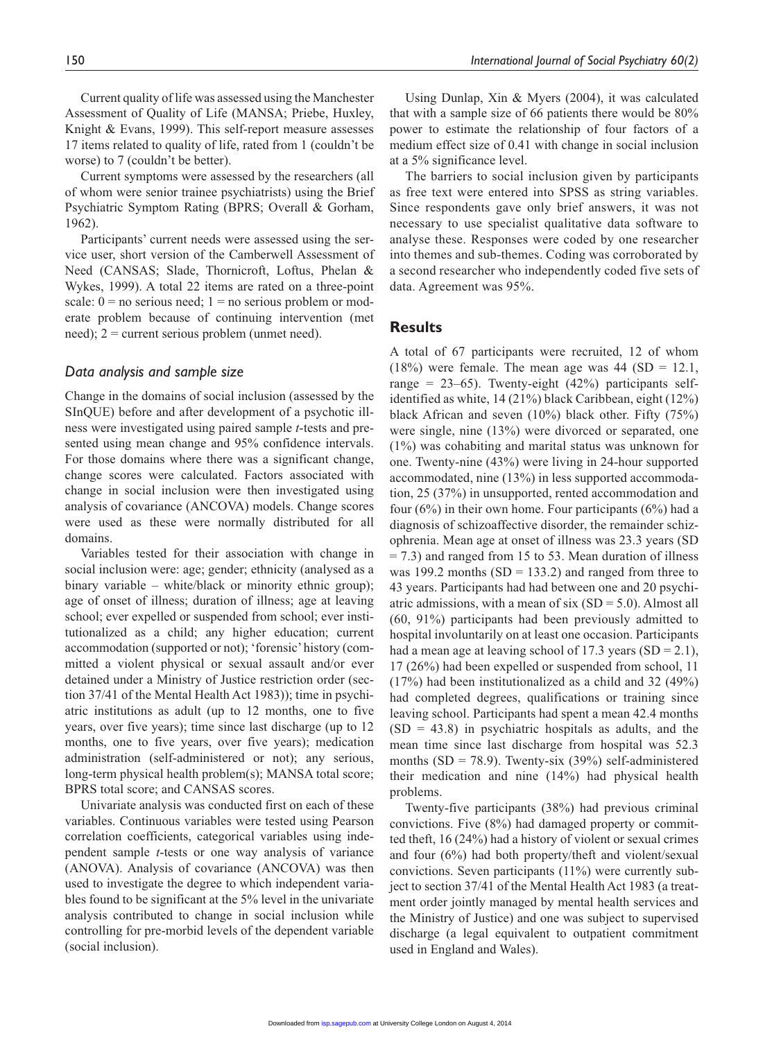Current quality of life was assessed using the Manchester Assessment of Quality of Life (MANSA; Priebe, Huxley, Knight & Evans, 1999). This self-report measure assesses 17 items related to quality of life, rated from 1 (couldn't be worse) to 7 (couldn't be better).

Current symptoms were assessed by the researchers (all of whom were senior trainee psychiatrists) using the Brief Psychiatric Symptom Rating (BPRS; Overall & Gorham, 1962).

Participants' current needs were assessed using the service user, short version of the Camberwell Assessment of Need (CANSAS; Slade, Thornicroft, Loftus, Phelan & Wykes, 1999). A total 22 items are rated on a three-point scale:  $0 =$  no serious need;  $1 =$  no serious problem or moderate problem because of continuing intervention (met need);  $2 =$  current serious problem (unmet need).

#### *Data analysis and sample size*

Change in the domains of social inclusion (assessed by the SInQUE) before and after development of a psychotic illness were investigated using paired sample *t*-tests and presented using mean change and 95% confidence intervals. For those domains where there was a significant change, change scores were calculated. Factors associated with change in social inclusion were then investigated using analysis of covariance (ANCOVA) models. Change scores were used as these were normally distributed for all domains.

Variables tested for their association with change in social inclusion were: age; gender; ethnicity (analysed as a binary variable – white/black or minority ethnic group); age of onset of illness; duration of illness; age at leaving school; ever expelled or suspended from school; ever institutionalized as a child; any higher education; current accommodation (supported or not); 'forensic' history (committed a violent physical or sexual assault and/or ever detained under a Ministry of Justice restriction order (section 37/41 of the Mental Health Act 1983)); time in psychiatric institutions as adult (up to 12 months, one to five years, over five years); time since last discharge (up to 12 months, one to five years, over five years); medication administration (self-administered or not); any serious, long-term physical health problem(s); MANSA total score; BPRS total score; and CANSAS scores.

Univariate analysis was conducted first on each of these variables. Continuous variables were tested using Pearson correlation coefficients, categorical variables using independent sample *t*-tests or one way analysis of variance (ANOVA). Analysis of covariance (ANCOVA) was then used to investigate the degree to which independent variables found to be significant at the 5% level in the univariate analysis contributed to change in social inclusion while controlling for pre-morbid levels of the dependent variable (social inclusion).

Using Dunlap, Xin & Myers (2004), it was calculated that with a sample size of 66 patients there would be 80% power to estimate the relationship of four factors of a medium effect size of 0.41 with change in social inclusion at a 5% significance level.

The barriers to social inclusion given by participants as free text were entered into SPSS as string variables. Since respondents gave only brief answers, it was not necessary to use specialist qualitative data software to analyse these. Responses were coded by one researcher into themes and sub-themes. Coding was corroborated by a second researcher who independently coded five sets of data. Agreement was 95%.

#### **Results**

A total of 67 participants were recruited, 12 of whom  $(18\%)$  were female. The mean age was 44 (SD = 12.1, range =  $23-65$ ). Twenty-eight (42%) participants selfidentified as white, 14 (21%) black Caribbean, eight (12%) black African and seven (10%) black other. Fifty (75%) were single, nine (13%) were divorced or separated, one (1%) was cohabiting and marital status was unknown for one. Twenty-nine (43%) were living in 24-hour supported accommodated, nine (13%) in less supported accommodation, 25 (37%) in unsupported, rented accommodation and four  $(6\%)$  in their own home. Four participants  $(6\%)$  had a diagnosis of schizoaffective disorder, the remainder schizophrenia. Mean age at onset of illness was 23.3 years (SD = 7.3) and ranged from 15 to 53. Mean duration of illness was 199.2 months  $(SD = 133.2)$  and ranged from three to 43 years. Participants had had between one and 20 psychiatric admissions, with a mean of six  $(SD = 5.0)$ . Almost all (60, 91%) participants had been previously admitted to hospital involuntarily on at least one occasion. Participants had a mean age at leaving school of 17.3 years  $(SD = 2.1)$ , 17 (26%) had been expelled or suspended from school, 11 (17%) had been institutionalized as a child and 32 (49%) had completed degrees, qualifications or training since leaving school. Participants had spent a mean 42.4 months  $(SD = 43.8)$  in psychiatric hospitals as adults, and the mean time since last discharge from hospital was 52.3 months  $(SD = 78.9)$ . Twenty-six  $(39\%)$  self-administered their medication and nine (14%) had physical health problems.

Twenty-five participants (38%) had previous criminal convictions. Five (8%) had damaged property or committed theft, 16 (24%) had a history of violent or sexual crimes and four (6%) had both property/theft and violent/sexual convictions. Seven participants (11%) were currently subject to section 37/41 of the Mental Health Act 1983 (a treatment order jointly managed by mental health services and the Ministry of Justice) and one was subject to supervised discharge (a legal equivalent to outpatient commitment used in England and Wales).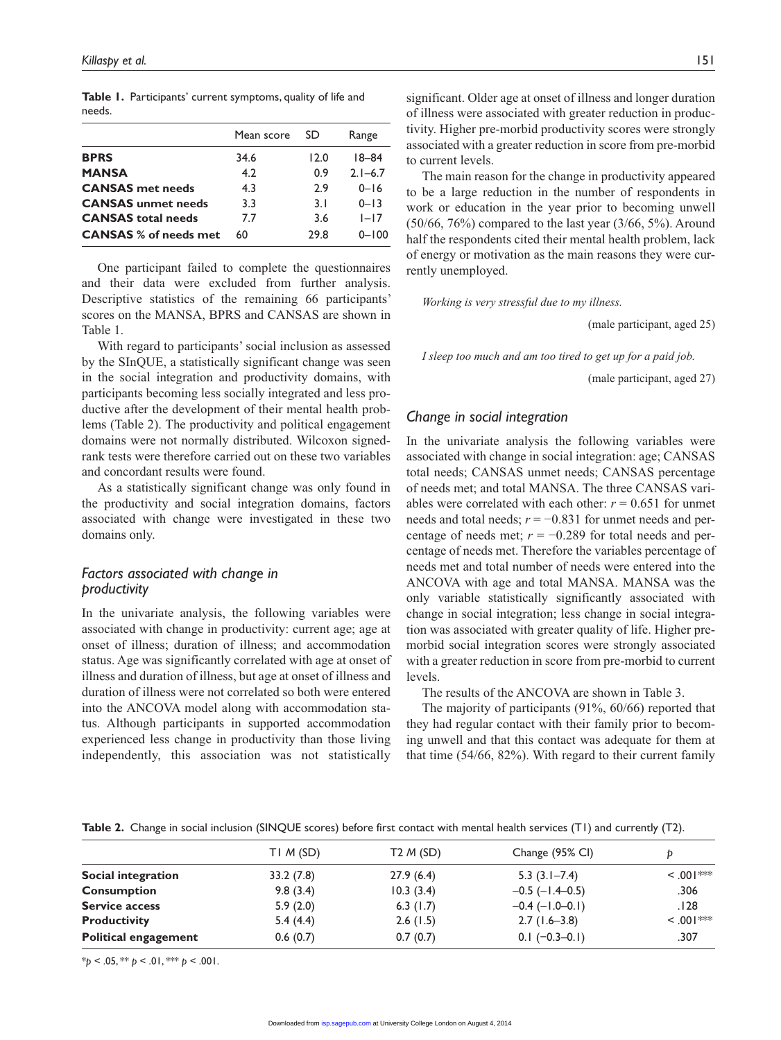|                              | Mean score | SD   | Range       |
|------------------------------|------------|------|-------------|
| <b>BPRS</b>                  | 34.6       | 12.0 | $18 - 84$   |
| <b>MANSA</b>                 | 4.2        | 0.9  | $2.1 - 6.7$ |
| <b>CANSAS</b> met needs      | 4.3        | 2.9  | $0 - 16$    |
| <b>CANSAS</b> unmet needs    | 3.3        | 3.1  | $0 - 13$    |
| <b>CANSAS</b> total needs    | 7.7        | 3.6  | $1 - 17$    |
| <b>CANSAS</b> % of needs met | 60         | 29.8 | $0 - 100$   |
|                              |            |      |             |

**Table 1.** Participants' current symptoms, quality of life and needs.

One participant failed to complete the questionnaires and their data were excluded from further analysis. Descriptive statistics of the remaining 66 participants' scores on the MANSA, BPRS and CANSAS are shown in Table 1.

With regard to participants' social inclusion as assessed by the SInQUE, a statistically significant change was seen in the social integration and productivity domains, with participants becoming less socially integrated and less productive after the development of their mental health problems (Table 2). The productivity and political engagement domains were not normally distributed. Wilcoxon signedrank tests were therefore carried out on these two variables and concordant results were found.

As a statistically significant change was only found in the productivity and social integration domains, factors associated with change were investigated in these two domains only.

#### *Factors associated with change in productivity*

In the univariate analysis, the following variables were associated with change in productivity: current age; age at onset of illness; duration of illness; and accommodation status. Age was significantly correlated with age at onset of illness and duration of illness, but age at onset of illness and duration of illness were not correlated so both were entered into the ANCOVA model along with accommodation status. Although participants in supported accommodation experienced less change in productivity than those living independently, this association was not statistically

significant. Older age at onset of illness and longer duration of illness were associated with greater reduction in productivity. Higher pre-morbid productivity scores were strongly associated with a greater reduction in score from pre-morbid to current levels.

The main reason for the change in productivity appeared to be a large reduction in the number of respondents in work or education in the year prior to becoming unwell  $(50/66, 76%)$  compared to the last year  $(3/66, 5%)$ . Around half the respondents cited their mental health problem, lack of energy or motivation as the main reasons they were currently unemployed.

*Working is very stressful due to my illness.*

(male participant, aged 25)

*I sleep too much and am too tired to get up for a paid job.*

(male participant, aged 27)

#### *Change in social integration*

In the univariate analysis the following variables were associated with change in social integration: age; CANSAS total needs; CANSAS unmet needs; CANSAS percentage of needs met; and total MANSA. The three CANSAS variables were correlated with each other:  $r = 0.651$  for unmet needs and total needs;  $r = -0.831$  for unmet needs and percentage of needs met;  $r = -0.289$  for total needs and percentage of needs met. Therefore the variables percentage of needs met and total number of needs were entered into the ANCOVA with age and total MANSA. MANSA was the only variable statistically significantly associated with change in social integration; less change in social integration was associated with greater quality of life. Higher premorbid social integration scores were strongly associated with a greater reduction in score from pre-morbid to current levels.

The results of the ANCOVA are shown in Table 3.

The majority of participants (91%, 60/66) reported that they had regular contact with their family prior to becoming unwell and that this contact was adequate for them at that time (54/66, 82%). With regard to their current family

|  | Table 2. Change in social inclusion (SINQUE scores) before first contact with mental health services (T1) and currently (T2). |  |  |  |  |  |
|--|-------------------------------------------------------------------------------------------------------------------------------|--|--|--|--|--|
|--|-------------------------------------------------------------------------------------------------------------------------------|--|--|--|--|--|

|                             | TI M (SD) | T2 M(SD)    | Change (95% CI)       |              |
|-----------------------------|-----------|-------------|-----------------------|--------------|
| Social integration          | 33.2(7.8) | 27.9(6.4)   | $5.3(3.1 - 7.4)$      | $< 0.01$ *** |
| <b>Consumption</b>          | 9.8(3.4)  | 10.3(3.4)   | $-0.5$ ( $-1.4-0.5$ ) | .306         |
| <b>Service access</b>       | 5.9(2.0)  | $6.3$ (1.7) | $-0.4$ ( $-1.0-0.1$ ) | .128         |
| <b>Productivity</b>         | 5.4(4.4)  | 2.6(1.5)    | $2.7(1.6-3.8)$        | $< 0.01$ *** |
| <b>Political engagement</b> | 0.6(0.7)  | 0.7(0.7)    | $0.1 (-0.3 - 0.1)$    | .307         |

 $*_{p}$  < .05,  $*_{p}$  < .01,  $*_{p}$  < .001.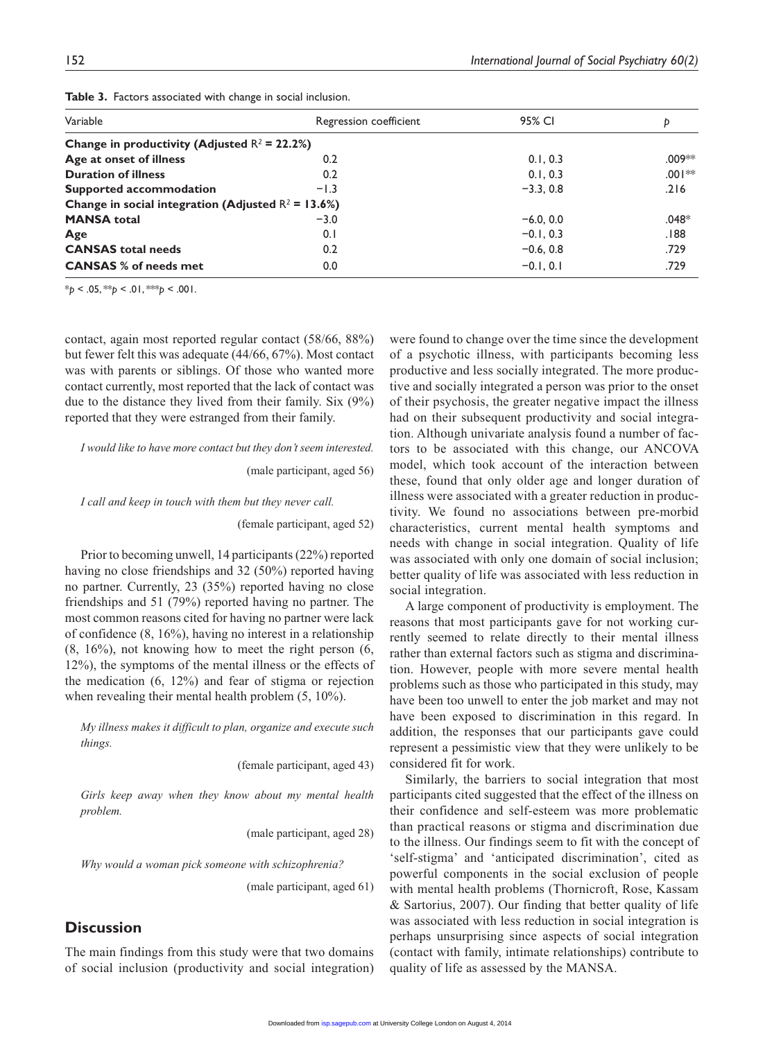| Variable                                                | Regression coefficient | 95% CI      |          |
|---------------------------------------------------------|------------------------|-------------|----------|
| Change in productivity (Adjusted $R^2 = 22.2\%)$        |                        |             |          |
| Age at onset of illness                                 | 0.2                    | 0.1, 0.3    | .009**   |
| <b>Duration of illness</b>                              | 0.2                    | 0.1.0.3     | $.001**$ |
| Supported accommodation                                 | $-1.3$                 | $-3.3.0.8$  | .216     |
| Change in social integration (Adjusted $R^2 = 13.6\%$ ) |                        |             |          |
| <b>MANSA</b> total                                      | $-3.0$                 | $-6.0, 0.0$ | $.048*$  |
| Age                                                     | 0.1                    | $-0.1.0.3$  | .188     |
| <b>CANSAS</b> total needs                               | 0.2                    | $-0.6, 0.8$ | .729     |
| <b>CANSAS</b> % of needs met                            | 0.0                    | $-0.1.0.1$  | .729     |
|                                                         |                        |             |          |

**Table 3.** Factors associated with change in social inclusion.

\**p* < .05, \*\**p* < .01, \*\*\**p* < .001.

contact, again most reported regular contact (58/66, 88%) but fewer felt this was adequate (44/66, 67%). Most contact was with parents or siblings. Of those who wanted more contact currently, most reported that the lack of contact was due to the distance they lived from their family. Six (9%) reported that they were estranged from their family.

*I would like to have more contact but they don't seem interested.*

(male participant, aged 56)

*I call and keep in touch with them but they never call.*

(female participant, aged 52)

Prior to becoming unwell, 14 participants (22%) reported having no close friendships and 32 (50%) reported having no partner. Currently, 23 (35%) reported having no close friendships and 51 (79%) reported having no partner. The most common reasons cited for having no partner were lack of confidence (8, 16%), having no interest in a relationship  $(8, 16\%)$ , not knowing how to meet the right person  $(6, 16\%)$ 12%), the symptoms of the mental illness or the effects of the medication (6, 12%) and fear of stigma or rejection when revealing their mental health problem  $(5, 10\%)$ .

*My illness makes it difficult to plan, organize and execute such things.*

(female participant, aged 43)

*Girls keep away when they know about my mental health problem.*

(male participant, aged 28)

*Why would a woman pick someone with schizophrenia?*

(male participant, aged 61)

#### **Discussion**

The main findings from this study were that two domains of social inclusion (productivity and social integration) were found to change over the time since the development of a psychotic illness, with participants becoming less productive and less socially integrated. The more productive and socially integrated a person was prior to the onset of their psychosis, the greater negative impact the illness had on their subsequent productivity and social integration. Although univariate analysis found a number of factors to be associated with this change, our ANCOVA model, which took account of the interaction between these, found that only older age and longer duration of illness were associated with a greater reduction in productivity. We found no associations between pre-morbid characteristics, current mental health symptoms and needs with change in social integration. Quality of life was associated with only one domain of social inclusion; better quality of life was associated with less reduction in social integration.

A large component of productivity is employment. The reasons that most participants gave for not working currently seemed to relate directly to their mental illness rather than external factors such as stigma and discrimination. However, people with more severe mental health problems such as those who participated in this study, may have been too unwell to enter the job market and may not have been exposed to discrimination in this regard. In addition, the responses that our participants gave could represent a pessimistic view that they were unlikely to be considered fit for work.

Similarly, the barriers to social integration that most participants cited suggested that the effect of the illness on their confidence and self-esteem was more problematic than practical reasons or stigma and discrimination due to the illness. Our findings seem to fit with the concept of 'self-stigma' and 'anticipated discrimination', cited as powerful components in the social exclusion of people with mental health problems (Thornicroft, Rose, Kassam & Sartorius, 2007). Our finding that better quality of life was associated with less reduction in social integration is perhaps unsurprising since aspects of social integration (contact with family, intimate relationships) contribute to quality of life as assessed by the MANSA.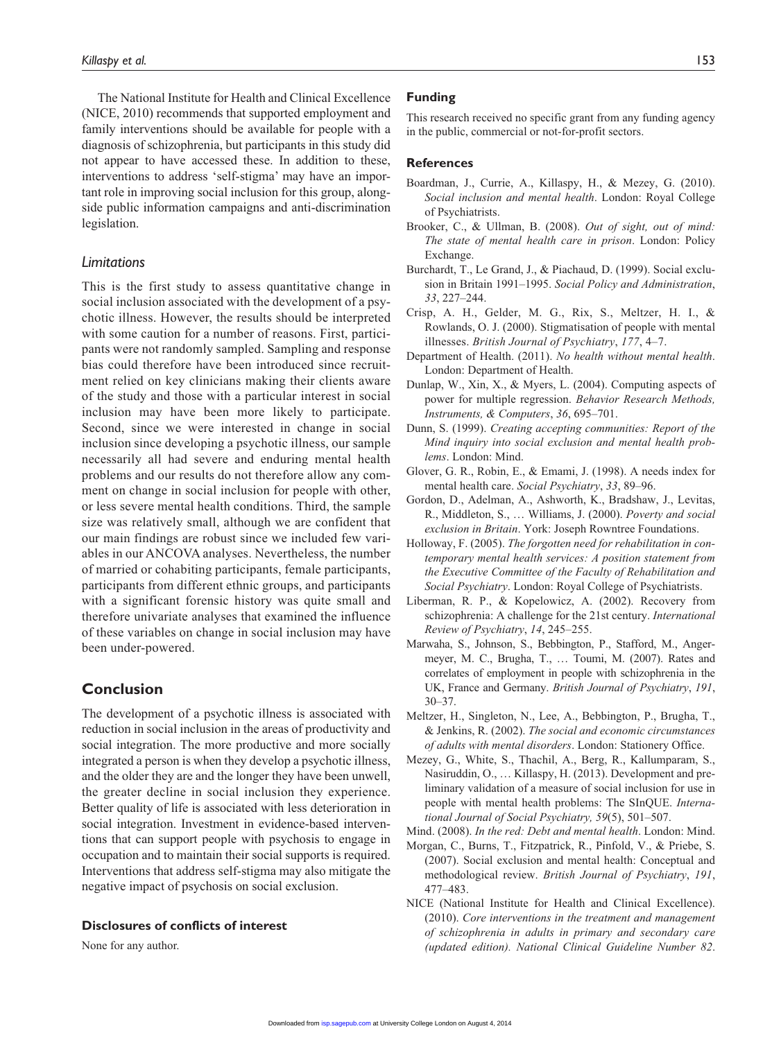The National Institute for Health and Clinical Excellence (NICE, 2010) recommends that supported employment and family interventions should be available for people with a diagnosis of schizophrenia, but participants in this study did not appear to have accessed these. In addition to these, interventions to address 'self-stigma' may have an important role in improving social inclusion for this group, alongside public information campaigns and anti-discrimination legislation.

#### *Limitations*

This is the first study to assess quantitative change in social inclusion associated with the development of a psychotic illness. However, the results should be interpreted with some caution for a number of reasons. First, participants were not randomly sampled. Sampling and response bias could therefore have been introduced since recruitment relied on key clinicians making their clients aware of the study and those with a particular interest in social inclusion may have been more likely to participate. Second, since we were interested in change in social inclusion since developing a psychotic illness, our sample necessarily all had severe and enduring mental health problems and our results do not therefore allow any comment on change in social inclusion for people with other, or less severe mental health conditions. Third, the sample size was relatively small, although we are confident that our main findings are robust since we included few variables in our ANCOVA analyses. Nevertheless, the number of married or cohabiting participants, female participants, participants from different ethnic groups, and participants with a significant forensic history was quite small and therefore univariate analyses that examined the influence of these variables on change in social inclusion may have been under-powered.

#### **Conclusion**

The development of a psychotic illness is associated with reduction in social inclusion in the areas of productivity and social integration. The more productive and more socially integrated a person is when they develop a psychotic illness, and the older they are and the longer they have been unwell, the greater decline in social inclusion they experience. Better quality of life is associated with less deterioration in social integration. Investment in evidence-based interventions that can support people with psychosis to engage in occupation and to maintain their social supports is required. Interventions that address self-stigma may also mitigate the negative impact of psychosis on social exclusion.

#### **Disclosures of conflicts of interest**

None for any author.

#### **Funding**

This research received no specific grant from any funding agency in the public, commercial or not-for-profit sectors.

#### **References**

- Boardman, J., Currie, A., Killaspy, H., & Mezey, G. (2010). *Social inclusion and mental health*. London: Royal College of Psychiatrists.
- Brooker, C., & Ullman, B. (2008). *Out of sight, out of mind: The state of mental health care in prison*. London: Policy Exchange.
- Burchardt, T., Le Grand, J., & Piachaud, D. (1999). Social exclusion in Britain 1991–1995. *Social Policy and Administration*, *33*, 227–244.
- Crisp, A. H., Gelder, M. G., Rix, S., Meltzer, H. I., & Rowlands, O. J. (2000). Stigmatisation of people with mental illnesses. *British Journal of Psychiatry*, *177*, 4–7.
- Department of Health. (2011). *No health without mental health*. London: Department of Health.
- Dunlap, W., Xin, X., & Myers, L. (2004). Computing aspects of power for multiple regression. *Behavior Research Methods, Instruments, & Computers*, *36*, 695–701.
- Dunn, S. (1999). *Creating accepting communities: Report of the Mind inquiry into social exclusion and mental health problems*. London: Mind.
- Glover, G. R., Robin, E., & Emami, J. (1998). A needs index for mental health care. *Social Psychiatry*, *33*, 89–96.
- Gordon, D., Adelman, A., Ashworth, K., Bradshaw, J., Levitas, R., Middleton, S., … Williams, J. (2000). *Poverty and social exclusion in Britain*. York: Joseph Rowntree Foundations.
- Holloway, F. (2005). *The forgotten need for rehabilitation in contemporary mental health services: A position statement from the Executive Committee of the Faculty of Rehabilitation and Social Psychiatry*. London: Royal College of Psychiatrists.
- Liberman, R. P., & Kopelowicz, A. (2002). Recovery from schizophrenia: A challenge for the 21st century. *International Review of Psychiatry*, *14*, 245–255.
- Marwaha, S., Johnson, S., Bebbington, P., Stafford, M., Angermeyer, M. C., Brugha, T., … Toumi, M. (2007). Rates and correlates of employment in people with schizophrenia in the UK, France and Germany. *British Journal of Psychiatry*, *191*, 30–37.
- Meltzer, H., Singleton, N., Lee, A., Bebbington, P., Brugha, T., & Jenkins, R. (2002). *The social and economic circumstances of adults with mental disorders*. London: Stationery Office.
- Mezey, G., White, S., Thachil, A., Berg, R., Kallumparam, S., Nasiruddin, O., … Killaspy, H. (2013). Development and preliminary validation of a measure of social inclusion for use in people with mental health problems: The SInQUE. *International Journal of Social Psychiatry, 59*(5), 501–507.
- Mind. (2008). *In the red: Debt and mental health*. London: Mind.
- Morgan, C., Burns, T., Fitzpatrick, R., Pinfold, V., & Priebe, S. (2007). Social exclusion and mental health: Conceptual and methodological review. *British Journal of Psychiatry*, *191*, 477–483.
- NICE (National Institute for Health and Clinical Excellence). (2010). *Core interventions in the treatment and management of schizophrenia in adults in primary and secondary care (updated edition). National Clinical Guideline Number 82*.